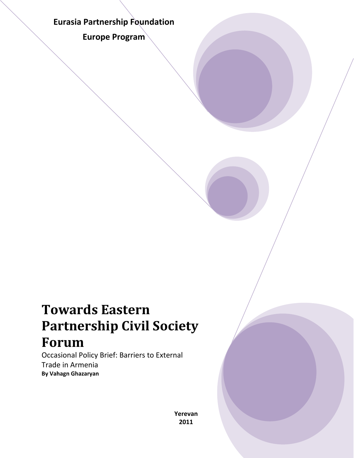# **Eurasia Partnership Foundation**

**Europe Program**

# **Towards Eastern Partnership Civil Society Forum**

Occasional Policy Brief: Barriers to External Trade in Armenia **By Vahagn Ghazaryan**

> **Yerevan 2011**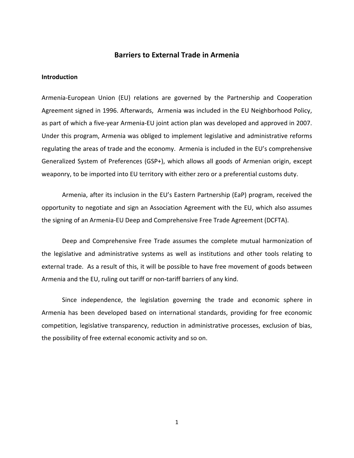## **Barriers to External Trade in Armenia**

#### **Introduction**

Armenia‐European Union (EU) relations are governed by the Partnership and Cooperation Agreement signed in 1996. Afterwards, Armenia was included in the EU Neighborhood Policy, as part of which a five‐year Armenia‐EU joint action plan was developed and approved in 2007. Under this program, Armenia was obliged to implement legislative and administrative reforms regulating the areas of trade and the economy. Armenia is included in the EU's comprehensive Generalized System of Preferences (GSP+), which allows all goods of Armenian origin, except weaponry, to be imported into EU territory with either zero or a preferential customs duty.

Armenia, after its inclusion in the EU's Eastern Partnership (EaP) program, received the opportunity to negotiate and sign an Association Agreement with the EU, which also assumes the signing of an Armenia‐EU Deep and Comprehensive Free Trade Agreement (DCFTA).

Deep and Comprehensive Free Trade assumes the complete mutual harmonization of the legislative and administrative systems as well as institutions and other tools relating to external trade. As a result of this, it will be possible to have free movement of goods between Armenia and the EU, ruling out tariff or non‐tariff barriers of any kind.

Since independence, the legislation governing the trade and economic sphere in Armenia has been developed based on international standards, providing for free economic competition, legislative transparency, reduction in administrative processes, exclusion of bias, the possibility of free external economic activity and so on.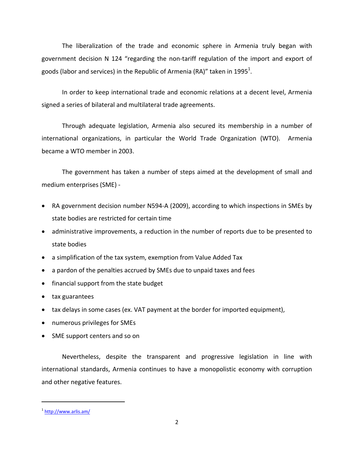The liberalization of the trade and economic sphere in Armenia truly began with government decision N 124 "regarding the non-tariff regulation of the import and export of goods (labor and services) in the Republic of Armenia (RA)" taken in 1995 $^1$ .

In order to keep international trade and economic relations at a decent level, Armenia signed a series of bilateral and multilateral trade agreements.

Through adequate legislation, Armenia also secured its membership in a number of international organizations, in particular the World Trade Organization (WTO). Armenia became a WTO member in 2003.

The government has taken a number of steps aimed at the development of small and medium enterprises (SME) ‐

- RA government decision number N594‐A (2009), according to which inspections in SMEs by state bodies are restricted for certain time
- administrative improvements, a reduction in the number of reports due to be presented to state bodies
- a simplification of the tax system, exemption from Value Added Tax
- a pardon of the penalties accrued by SMEs due to unpaid taxes and fees
- financial support from the state budget
- tax guarantees
- tax delays in some cases (ex. VAT payment at the border for imported equipment),
- numerous privileges for SMEs
- SME support centers and so on

Nevertheless, despite the transparent and progressive legislation in line with international standards, Armenia continues to have a monopolistic economy with corruption and other negative features.

<sup>&</sup>lt;sup>1</sup> http://www.arlis.am/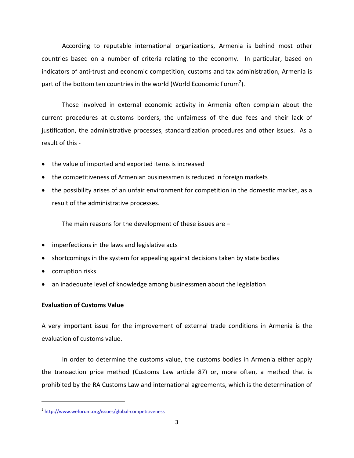According to reputable international organizations, Armenia is behind most other countries based on a number of criteria relating to the economy. In particular, based on indicators of anti-trust and economic competition, customs and tax administration, Armenia is part of the bottom ten countries in the world (World Economic Forum<sup>2</sup>).

Those involved in external economic activity in Armenia often complain about the current procedures at customs borders, the unfairness of the due fees and their lack of justification, the administrative processes, standardization procedures and other issues. As a result of this ‐

- the value of imported and exported items is increased
- the competitiveness of Armenian businessmen is reduced in foreign markets
- the possibility arises of an unfair environment for competition in the domestic market, as a result of the administrative processes.

The main reasons for the development of these issues are –

- imperfections in the laws and legislative acts
- shortcomings in the system for appealing against decisions taken by state bodies
- corruption risks
- an inadequate level of knowledge among businessmen about the legislation

## **Evaluation of Customs Value**

A very important issue for the improvement of external trade conditions in Armenia is the evaluation of customs value.

In order to determine the customs value, the customs bodies in Armenia either apply the transaction price method (Customs Law article 87) or, more often, a method that is prohibited by the RA Customs Law and international agreements, which is the determination of

<sup>&</sup>lt;sup>2</sup> http://www.weforum.org/issues/global-competitiveness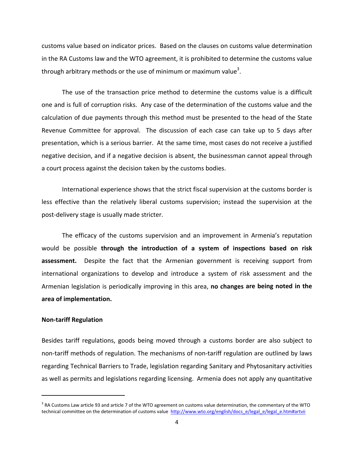customs value based on indicator prices. Based on the clauses on customs value determination in the RA Customs law and the WTO agreement, it is prohibited to determine the customs value through arbitrary methods or the use of minimum or maximum value<sup>3</sup>.

The use of the transaction price method to determine the customs value is a difficult one and is full of corruption risks. Any case of the determination of the customs value and the calculation of due payments through this method must be presented to the head of the State Revenue Committee for approval. The discussion of each case can take up to 5 days after presentation, which is a serious barrier. At the same time, most cases do not receive a justified negative decision, and if a negative decision is absent, the businessman cannot appeal through a court process against the decision taken by the customs bodies.

International experience shows that the strict fiscal supervision at the customs border is less effective than the relatively liberal customs supervision; instead the supervision at the post‐delivery stage is usually made stricter.

The efficacy of the customs supervision and an improvement in Armenia's reputation would be possible **through the introduction of a system of inspections based on risk assessment.** Despite the fact that the Armenian government is receiving support from international organizations to develop and introduce a system of risk assessment and the Armenian legislation is periodically improving in this area, **no changes are being noted in the area of implementation.**

#### **Non‐tariff Regulation**

Besides tariff regulations, goods being moved through a customs border are also subject to non-tariff methods of regulation. The mechanisms of non-tariff regulation are outlined by laws regarding Technical Barriers to Trade, legislation regarding Sanitary and Phytosanitary activities as well as permits and legislations regarding licensing. Armenia does not apply any quantitative

 $3$  RA Customs Law article 93 and article 7 of the WTO agreement on customs value determination, the commentary of the WTO technical committee on the determination of customs value http://www.wto.org/english/docs\_e/legal\_e/legal\_e.htm#artvii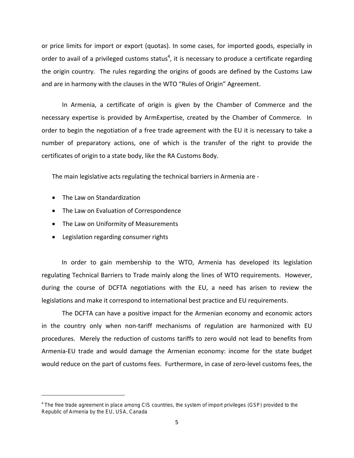or price limits for import or export (quotas). In some cases, for imported goods, especially in order to avail of a privileged customs status<sup>4</sup>, it is necessary to produce a certificate regarding the origin country. The rules regarding the origins of goods are defined by the Customs Law and are in harmony with the clauses in the WTO "Rules of Origin" Agreement.

In Armenia, a certificate of origin is given by the Chamber of Commerce and the necessary expertise is provided by ArmExpertise, created by the Chamber of Commerce. In order to begin the negotiation of a free trade agreement with the EU it is necessary to take a number of preparatory actions, one of which is the transfer of the right to provide the certificates of origin to a state body, like the RA Customs Body.

The main legislative acts regulating the technical barriers in Armenia are ‐

• The Law on Standardization

- The Law on Evaluation of Correspondence
- The Law on Uniformity of Measurements
- Legislation regarding consumer rights

In order to gain membership to the WTO, Armenia has developed its legislation regulating Technical Barriers to Trade mainly along the lines of WTO requirements. However, during the course of DCFTA negotiations with the EU, a need has arisen to review the legislations and make it correspond to international best practice and EU requirements.

The DCFTA can have a positive impact for the Armenian economy and economic actors in the country only when non-tariff mechanisms of regulation are harmonized with EU procedures. Merely the reduction of customs tariffs to zero would not lead to benefits from Armenia‐EU trade and would damage the Armenian economy: income for the state budget would reduce on the part of customs fees. Furthermore, in case of zero-level customs fees, the

<sup>4</sup> The free trade agreement in place among CIS countries, the system of import privileges (GSP) provided to the Republic of Armenia by the EU, USA, Canada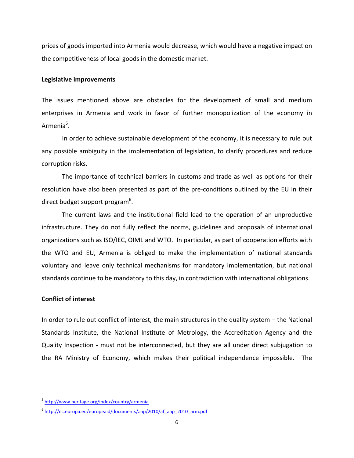prices of goods imported into Armenia would decrease, which would have a negative impact on the competitiveness of local goods in the domestic market.

#### **Legislative improvements**

The issues mentioned above are obstacles for the development of small and medium enterprises in Armenia and work in favor of further monopolization of the economy in Armenia<sup>5</sup>.

In order to achieve sustainable development of the economy, it is necessary to rule out any possible ambiguity in the implementation of legislation, to clarify procedures and reduce corruption risks.

The importance of technical barriers in customs and trade as well as options for their resolution have also been presented as part of the pre‐conditions outlined by the EU in their direct budget support program<sup>6</sup>.

The current laws and the institutional field lead to the operation of an unproductive infrastructure. They do not fully reflect the norms, guidelines and proposals of international organizations such as ISO/IEC, OIML and WTO. In particular, as part of cooperation efforts with the WTO and EU, Armenia is obliged to make the implementation of national standards voluntary and leave only technical mechanisms for mandatory implementation, but national standards continue to be mandatory to this day, in contradiction with international obligations.

#### **Conflict of interest**

In order to rule out conflict of interest, the main structures in the quality system – the National Standards Institute, the National Institute of Metrology, the Accreditation Agency and the Quality Inspection ‐ must not be interconnected, but they are all under direct subjugation to the RA Ministry of Economy, which makes their political independence impossible. The

<sup>5</sup> http://www.heritage.org/index/country/armenia

<sup>&</sup>lt;sup>6</sup> http://ec.europa.eu/europeaid/documents/aap/2010/af\_aap\_2010\_arm.pdf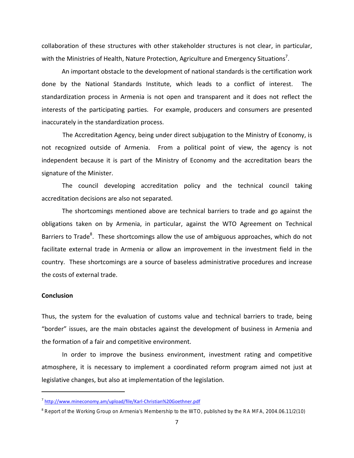collaboration of these structures with other stakeholder structures is not clear, in particular, with the Ministries of Health, Nature Protection, Agriculture and Emergency Situations<sup>7</sup>.

An important obstacle to the development of national standards is the certification work done by the National Standards Institute, which leads to a conflict of interest. The standardization process in Armenia is not open and transparent and it does not reflect the interests of the participating parties. For example, producers and consumers are presented inaccurately in the standardization process.

The Accreditation Agency, being under direct subjugation to the Ministry of Economy, is not recognized outside of Armenia. From a political point of view, the agency is not independent because it is part of the Ministry of Economy and the accreditation bears the signature of the Minister.

The council developing accreditation policy and the technical council taking accreditation decisions are also not separated.

The shortcomings mentioned above are technical barriers to trade and go against the obligations taken on by Armenia, in particular, against the WTO Agreement on Technical Barriers to Trade<sup>8</sup>. These shortcomings allow the use of ambiguous approaches, which do not facilitate external trade in Armenia or allow an improvement in the investment field in the country. These shortcomings are a source of baseless administrative procedures and increase the costs of external trade.

#### **Conclusion**

Thus, the system for the evaluation of customs value and technical barriers to trade, being "border" issues, are the main obstacles against the development of business in Armenia and the formation of a fair and competitive environment.

In order to improve the business environment, investment rating and competitive atmosphere, it is necessary to implement a coordinated reform program aimed not just at legislative changes, but also at implementation of the legislation.

<sup>7</sup> http://www.mineconomy.am/upload/file/Karl‐Christian%20Goethner.pdf

<sup>&</sup>lt;sup>8</sup> Report of the Working Group on Armenia's Membership to the WTO, published by the RA MFA, 2004.06.11/2(10)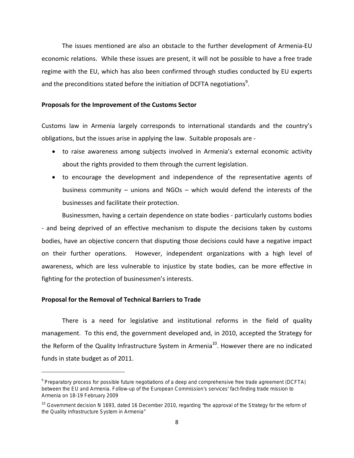The issues mentioned are also an obstacle to the further development of Armenia‐EU economic relations. While these issues are present, it will not be possible to have a free trade regime with the EU, which has also been confirmed through studies conducted by EU experts and the preconditions stated before the initiation of DCFTA negotiations<sup>9</sup>.

#### **Proposals for the Improvement of the Customs Sector**

Customs law in Armenia largely corresponds to international standards and the country's obligations, but the issues arise in applying the law. Suitable proposals are ‐

- to raise awareness among subjects involved in Armenia's external economic activity about the rights provided to them through the current legislation.
- to encourage the development and independence of the representative agents of business community – unions and NGOs – which would defend the interests of the businesses and facilitate their protection.

Businessmen, having a certain dependence on state bodies ‐ particularly customs bodies ‐ and being deprived of an effective mechanism to dispute the decisions taken by customs bodies, have an objective concern that disputing those decisions could have a negative impact on their further operations. However, independent organizations with a high level of awareness, which are less vulnerable to injustice by state bodies, can be more effective in fighting for the protection of businessmen's interests.

#### **Proposal for the Removal of Technical Barriers to Trade**

There is a need for legislative and institutional reforms in the field of quality management. To this end, the government developed and, in 2010, accepted the Strategy for the Reform of the Quality Infrastructure System in Armenia<sup>10</sup>. However there are no indicated funds in state budget as of 2011.

<sup>9</sup> Preparatory process for possible future negotiations of a deep and comprehensive free trade agreement (DCFTA) between the EU and Armenia. Follow-up of the European Commission's services' fact-finding trade mission to Armenia on 18-19 February 2009

<sup>&</sup>lt;sup>10</sup> Government decision N 1693, dated 16 December 2010, regarding "the approval of the Strategy for the reform of the Quality Infrastructure System in Armenia"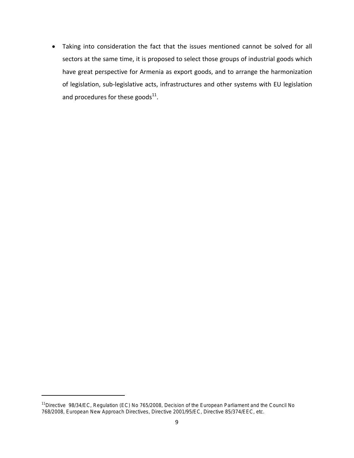Taking into consideration the fact that the issues mentioned cannot be solved for all sectors at the same time, it is proposed to select those groups of industrial goods which have great perspective for Armenia as export goods, and to arrange the harmonization of legislation, sub‐legislative acts, infrastructures and other systems with EU legislation and procedures for these goods $^{11}$ .

<sup>&</sup>lt;sup>11</sup> Directive 98/34/EC, Regulation (EC) No 765/2008, Decision of the European Parliament and the Council No 768/2008, European New Approach Directives, Directive 2001/95/EC, Directive 85/374/EEC, etc.